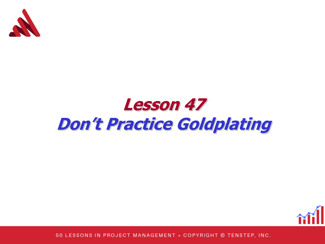

## **Lesson 47 Don't Practice Goldplating**

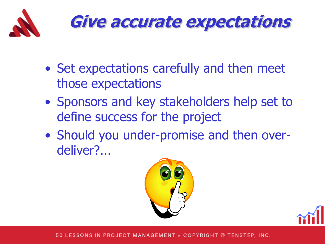

## **Give accurate expectations**

- Set expectations carefully and then meet those expectations
- Sponsors and key stakeholders help set to define success for the project
- Should you under-promise and then overdeliver?...



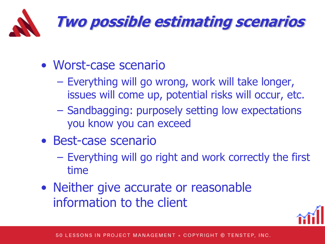

- Worst-case scenario
	- Everything will go wrong, work will take longer, issues will come up, potential risks will occur, etc.
	- Sandbagging: purposely setting low expectations you know you can exceed
- Best-case scenario
	- Everything will go right and work correctly the first time
- Neither give accurate or reasonable information to the client

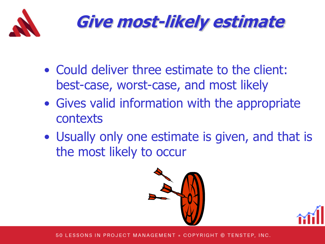

**Give most-likely estimate**

- Could deliver three estimate to the client: best-case, worst-case, and most likely
- Gives valid information with the appropriate contexts
- Usually only one estimate is given, and that is the most likely to occur



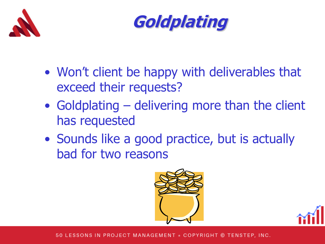



- Won't client be happy with deliverables that exceed their requests?
- Goldplating delivering more than the client has requested
- Sounds like a good practice, but is actually bad for two reasons



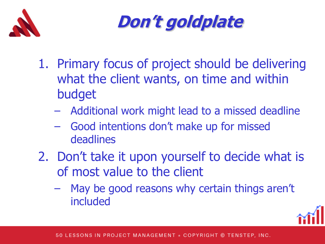



- 1. Primary focus of project should be delivering what the client wants, on time and within budget
	- Additional work might lead to a missed deadline
	- Good intentions don't make up for missed deadlines
- 2. Don't take it upon yourself to decide what is of most value to the client
	- May be good reasons why certain things aren't included